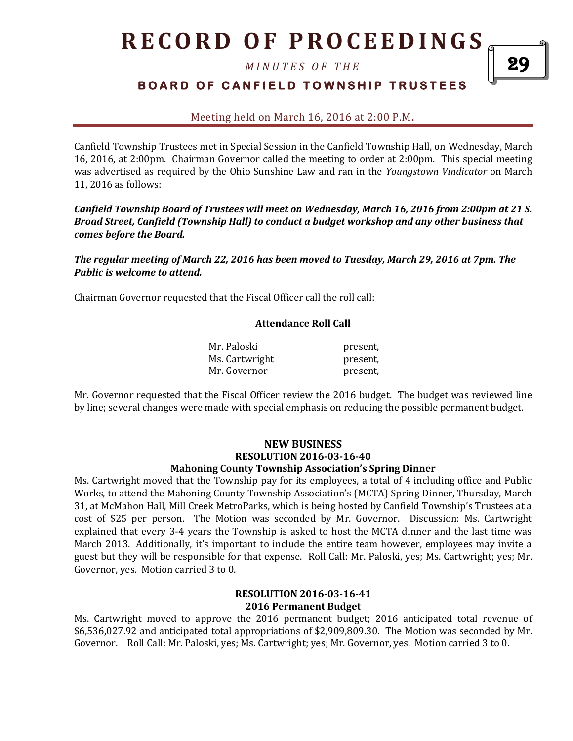# **R E C O R D O F P R O C E E D I N GS**

*M I N U T E S O F T H E* 

## **BOARD OF CANFIELD TOWNSHIP TRUSTEES**

Meeting held on March 16, 2016 at 2:00 P.M**.**

Canfield Township Trustees met in Special Session in the Canfield Township Hall, on Wednesday, March 16, 2016, at 2:00pm. Chairman Governor called the meeting to order at 2:00pm. This special meeting was advertised as required by the Ohio Sunshine Law and ran in the *Youngstown Vindicator* on March 11, 2016 as follows:

*Canfield Township Board of Trustees will meet on Wednesday, March 16, 2016 from 2:00pm at 21 S. Broad Street, Canfield (Township Hall) to conduct a budget workshop and any other business that comes before the Board.* 

*The regular meeting of March 22, 2016 has been moved to Tuesday, March 29, 2016 at 7pm. The Public is welcome to attend.*

Chairman Governor requested that the Fiscal Officer call the roll call:

#### **Attendance Roll Call**

| Mr. Paloski    | present, |
|----------------|----------|
| Ms. Cartwright | present, |
| Mr. Governor   | present, |

Mr. Governor requested that the Fiscal Officer review the 2016 budget. The budget was reviewed line by line; several changes were made with special emphasis on reducing the possible permanent budget.

## **NEW BUSINESS RESOLUTION 2016-03-16-40**

### **Mahoning County Township Association's Spring Dinner**

Ms. Cartwright moved that the Township pay for its employees, a total of 4 including office and Public Works, to attend the Mahoning County Township Association's (MCTA) Spring Dinner, Thursday, March 31, at McMahon Hall, Mill Creek MetroParks, which is being hosted by Canfield Township's Trustees at a cost of \$25 per person. The Motion was seconded by Mr. Governor. Discussion: Ms. Cartwright explained that every 3-4 years the Township is asked to host the MCTA dinner and the last time was March 2013. Additionally, it's important to include the entire team however, employees may invite a guest but they will be responsible for that expense. Roll Call: Mr. Paloski, yes; Ms. Cartwright; yes; Mr. Governor, yes. Motion carried 3 to 0.

#### **RESOLUTION 2016-03-16-41 2016 Permanent Budget**

Ms. Cartwright moved to approve the 2016 permanent budget; 2016 anticipated total revenue of \$6,536,027.92 and anticipated total appropriations of \$2,909,809.30. The Motion was seconded by Mr. Governor. Roll Call: Mr. Paloski, yes; Ms. Cartwright; yes; Mr. Governor, yes. Motion carried 3 to 0.

29